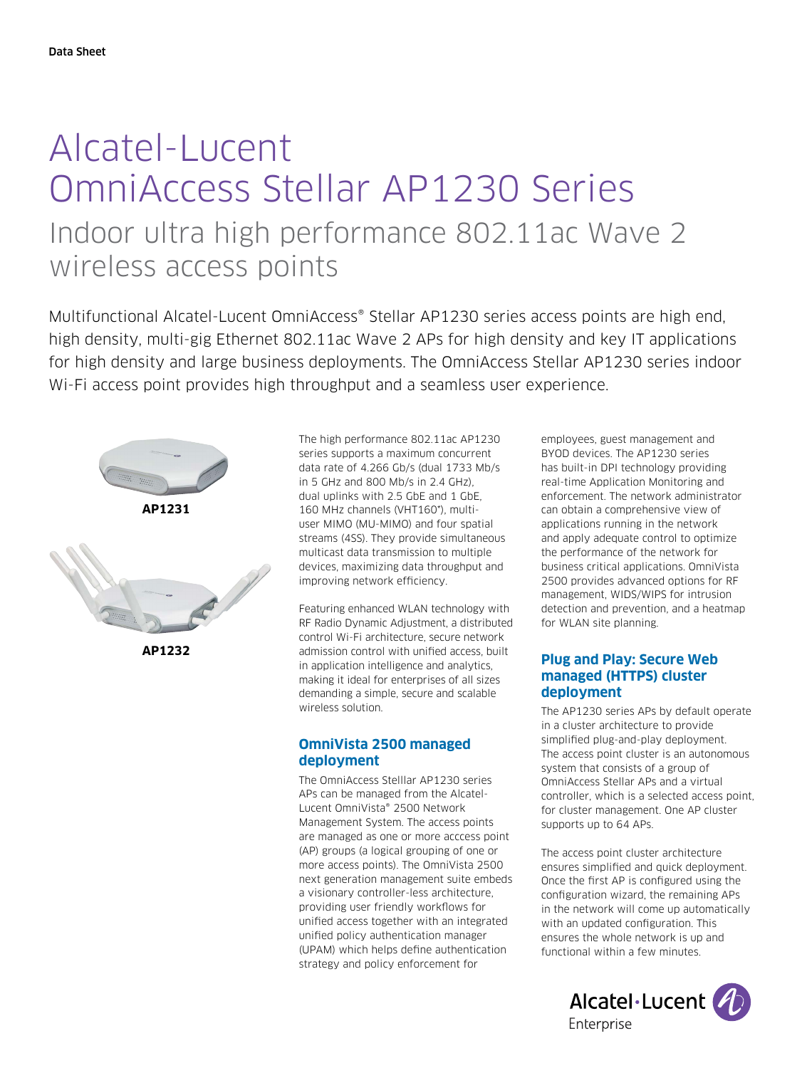# Alcatel-Lucent OmniAccess Stellar AP1230 Series Indoor ultra high performance 802.11ac Wave 2 wireless access points

Multifunctional Alcatel-Lucent OmniAccess® Stellar AP1230 series access points are high end, high density, multi-gig Ethernet 802.11ac Wave 2 APs for high density and key IT applications for high density and large business deployments. The OmniAccess Stellar AP1230 series indoor Wi-Fi access point provides high throughput and a seamless user experience.



**AP1232**

The high performance 802.11ac AP1230 series supports a maximum concurrent data rate of 4.266 Gb/s (dual 1733 Mb/s in 5 GHz and 800 Mb/s in 2.4 GHz), dual uplinks with 2.5 GbE and 1 GbE, 160 MHz channels (VHT160\*), multiuser MIMO (MU-MIMO) and four spatial streams (4SS). They provide simultaneous multicast data transmission to multiple devices, maximizing data throughput and improving network efficiency.

Featuring enhanced WLAN technology with RF Radio Dynamic Adjustment, a distributed control Wi-Fi architecture, secure network admission control with unified access, built in application intelligence and analytics, making it ideal for enterprises of all sizes demanding a simple, secure and scalable wireless solution.

# **OmniVista 2500 managed deployment**

The OmniAccess Stelllar AP1230 series APs can be managed from the Alcatel-Lucent OmniVista® 2500 Network Management System. The access points are managed as one or more acccess point (AP) groups (a logical grouping of one or more access points). The OmniVista 2500 next generation management suite embeds a visionary controller-less architecture, providing user friendly workflows for unified access together with an integrated unified policy authentication manager (UPAM) which helps define authentication strategy and policy enforcement for

employees, guest management and BYOD devices. The AP1230 series has built-in DPI technology providing real-time Application Monitoring and enforcement. The network administrator can obtain a comprehensive view of applications running in the network and apply adequate control to optimize the performance of the network for business critical applications. OmniVista 2500 provides advanced options for RF management, WIDS/WIPS for intrusion detection and prevention, and a heatmap for WLAN site planning.

# **Plug and Play: Secure Web managed (HTTPS) cluster deployment**

The AP1230 series APs by default operate in a cluster architecture to provide simplified plug-and-play deployment. The access point cluster is an autonomous system that consists of a group of OmniAccess Stellar APs and a virtual controller, which is a selected access point, for cluster management. One AP cluster supports up to 64 APs.

The access point cluster architecture ensures simplified and quick deployment. Once the first AP is configured using the configuration wizard, the remaining APs in the network will come up automatically with an updated configuration. This ensures the whole network is up and functional within a few minutes.

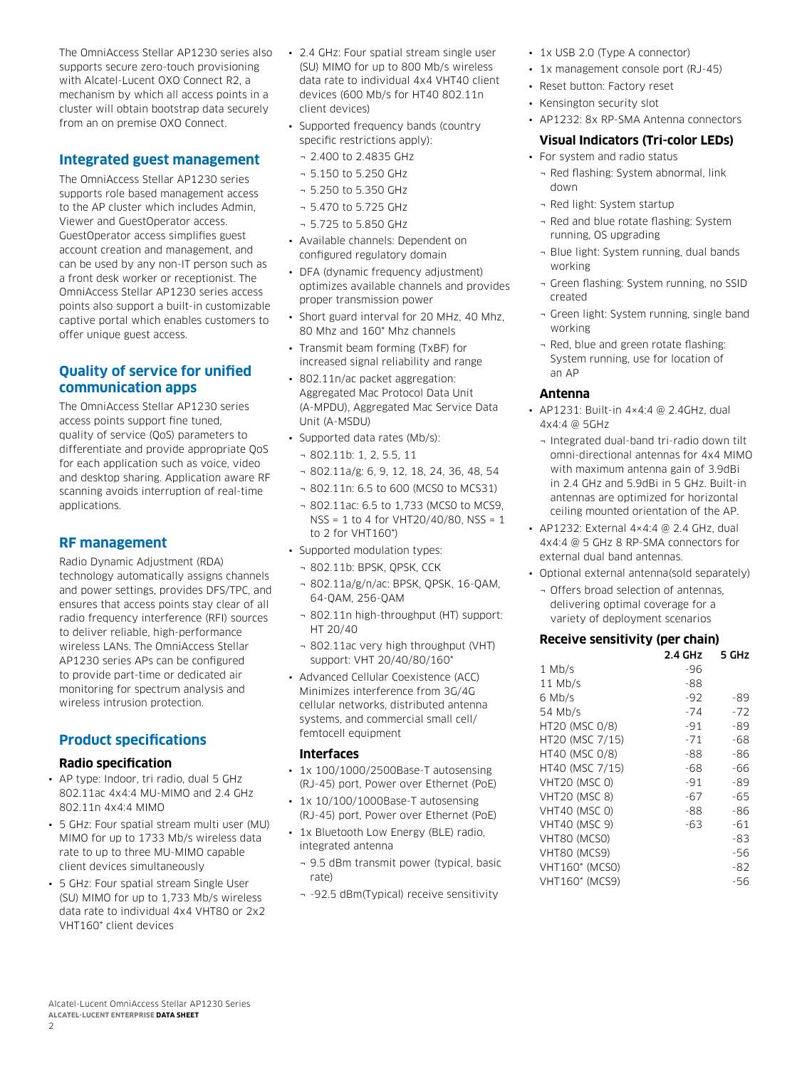The OmniAccess Stellar AP1230 series also supports secure zero-touch provisioning with Alcatel-Lucent OXO Connect R2, a mechanism by which all access points in a cluster will obtain bootstrap data securely from an on premise OXO Connect.

# **Integrated guest management**

The OmniAccess Stellar AP1230 series supports role based management access to the AP cluster which includes Admin, Viewer and GuestOperator access. GuestOperator access simplifies guest account creation and management, and can be used by any non-IT person such as a front desk worker or receptionist. The OmniAccess Stellar AP1230 series access points also support a built-in customizable captive portal which enables customers to offer unique guest access.

# **Quality of service for unified communication apps**

The OmniAccess Stellar AP1230 series access points support fine tuned, quality of service (QoS) parameters to differentiate and provide appropriate QoS for each application such as voice, video and desktop sharing. Application aware RF scanning avoids interruption of real-time applications.

# **RF management**

Radio Dynamic Adjustment (RDA) technology automatically assigns channels and power settings, provides DFS/TPC, and ensures that access points stay clear of all radio frequency interference (RFI) sources to deliver reliable, high-performance wireless LANs. The OmniAccess Stellar AP1230 series APs can be configured to provide part-time or dedicated air monitoring for spectrum analysis and wireless intrusion protection.

# **Product specifications**

#### **Radio specification**

- AP type: Indoor, tri radio, dual 5 GHz 802.11ac 4x4:4 MU-MIMO and 2.4 GHz 802.11n 4x4:4 MIMO
- 5 GHz: Four spatial stream multi user (MU) MIMO for up to 1733 Mb/s wireless data rate to up to three MU-MIMO capable client devices simultaneously
- 5 GHz: Four spatial stream Single User (SU) MIMO for up to 1,733 Mb/s wireless data rate to individual 4x4 VHT80 or 2x2 VHT160\* client devices
- 2.4 GHz: Four spatial stream single user (SU) MIMO for up to 800 Mb/s wireless data rate to individual 4x4 VHT40 client devices (600 Mb/s for HT40 802.11n client devices)
- Supported frequency bands (country specific restrictions apply):
- ¬ 2.400 to 2.4835 GHz
- ¬ 5.150 to 5.250 GHz
- ¬ 5.250 to 5.350 GHz
- ¬ 5.470 to 5.725 GHz
- ¬ 5.725 to 5.850 GHz
- Available channels: Dependent on configured regulatory domain
- DFA (dynamic frequency adjustment) optimizes available channels and provides proper transmission power
- Short guard interval for 20 MHz, 40 Mhz, 80 Mhz and 160\* Mhz channels
- Transmit beam forming (TxBF) for increased signal reliability and range
- 802.11n/ac packet aggregation: Aggregated Mac Protocol Data Unit (A-MPDU), Aggregated Mac Service Data Unit (A-MSDU)
- Supported data rates (Mb/s):
	- ¬ 802.11b: 1, 2, 5.5, 11
	- ¬ 802.11a/g: 6, 9, 12, 18, 24, 36, 48, 54
	- ¬ 802.11n: 6.5 to 600 (MCS0 to MCS31)
	- ¬ 802.11ac: 6.5 to 1,733 (MCS0 to MCS9, NSS = 1 to 4 for VHT20/40/80, NSS = 1 to 2 for VHT160\*)
- Supported modulation types:
	- ¬ 802.11b: BPSK, QPSK, CCK
	- ¬ 802.11a/g/n/ac: BPSK, QPSK, 16-QAM, 64-QAM, 256-QAM
	- ¬ 802.11n high-throughput (HT) support: HT 20/40
	- ¬ 802.11ac very high throughput (VHT) support: VHT 20/40/80/160\*
- Advanced Cellular Coexistence (ACC) Minimizes interference from 3G/4G cellular networks, distributed antenna systems, and commercial small cell/ femtocell equipment

#### **Interfaces**

- 1x 100/1000/2500Base-T autosensing (RJ-45) port, Power over Ethernet (PoE)
- 1x 10/100/1000Base-T autosensing (RJ-45) port, Power over Ethernet (PoE)
- 1x Bluetooth Low Energy (BLE) radio, integrated antenna
	- ¬ 9.5 dBm transmit power (typical, basic rate)
	- ¬ -92.5 dBm(Typical) receive sensitivity
- 1x USB 2.0 (Type A connector)
- 1x management console port (RJ-45)
- Reset button: Factory reset
- Kensington security slot
- AP1232: 8x RP-SMA Antenna connectors

## **Visual Indicators (Tri-color LEDs)**

- For system and radio status
	- ¬ Red flashing: System abnormal, link down
	- ¬ Red light: System startup
	- ¬ Red and blue rotate flashing: System running, OS upgrading
	- ¬ Blue light: System running, dual bands working
	- ¬ Green flashing: System running, no SSID created
	- ¬ Green light: System running, single band working
	- ¬ Red, blue and green rotate flashing: System running, use for location of an AP

#### **Antenna**

- AP1231: Built-in 4×4:4 @ 2.4GHz, dual 4x4:4 @ 5GHz
	- ¬ Integrated dual-band tri-radio down tilt omni-directional antennas for 4x4 MIMO with maximum antenna gain of 3.9dBi in 2.4 GHz and 5.9dBi in 5 GHz. Built-in antennas are optimized for horizontal ceiling mounted orientation of the AP.
- AP1232: External 4×4:4 @ 2.4 GHz, dual 4x4:4 @ 5 GHz 8 RP-SMA connectors for external dual band antennas.
- Optional external antenna(sold separately)
	- ¬ Offers broad selection of antennas, delivering optimal coverage for a variety of deployment scenarios

#### **Receive sensitivity (per chain)**

|                       | 2.4 GHz | 5 GHz |
|-----------------------|---------|-------|
| $1$ Mb/s              | -96     |       |
| $11$ Mb/s             | -88     |       |
| 6 Mb/s                | $-92$   | -89   |
| 54 Mb/s               | $-74$   | -72   |
| HT20 (MSC 0/8)        | $-91$   | -89   |
| HT20 (MSC 7/15)       | $-71$   | -68   |
| HT40 (MSC 0/8)        | -88     | -86   |
| HT40 (MSC 7/15)       | -68     | -66   |
| <b>VHT20 (MSC 0)</b>  | $-91$   | -89   |
| <b>VHT20 (MSC 8)</b>  | $-67$   | -65   |
| <b>VHT40 (MSC 0)</b>  | -88     | -86   |
| <b>VHT40 (MSC 9)</b>  | -63     | $-61$ |
| VHT80 (MCSO)          |         | -83   |
| VHT80 (MCS9)          |         | -56   |
| <b>VHT160* (MCSO)</b> |         | -82   |
| VHT160* (MCS9)        |         | -56   |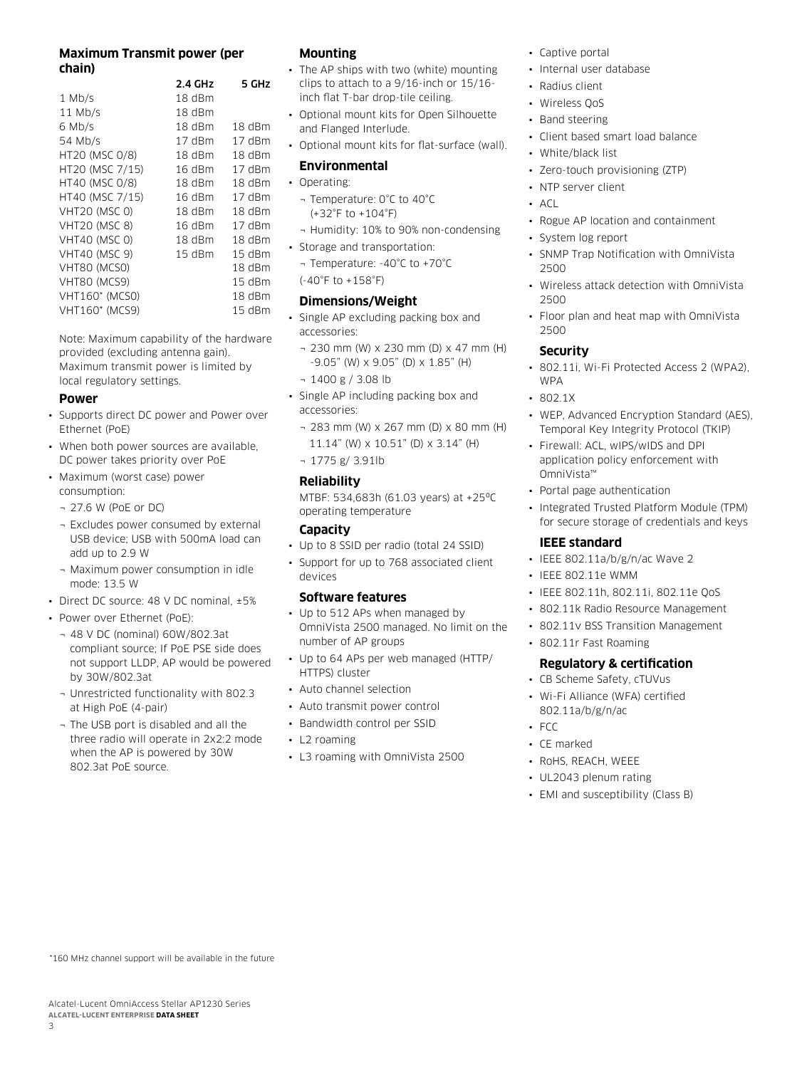### **Maximum Transmit power (per chain)**

|                      | 2.4 GHz  | 5 GHz    |
|----------------------|----------|----------|
| $1$ Mb/s             | 18 dBm   |          |
| $11$ Mb/s            | $18$ dBm |          |
| 6 Mb/s               | 18 dBm   | $18$ dBm |
| 54 Mb/s              | 17 dBm   | 17 dBm   |
| HT20 (MSC 0/8)       | $18$ dBm | $18$ dBm |
| HT20 (MSC 7/15)      | 16dBm    | 17 dBm   |
| HT40 (MSC 0/8)       | $18$ dBm | $18$ dBm |
| HT40 (MSC 7/15)      | 16 dBm   | 17 dBm   |
| <b>VHT20 (MSC 0)</b> | 18 dBm   | 18 dBm   |
| <b>VHT20 (MSC 8)</b> | 16 dBm   | 17 dBm   |
| <b>VHT40 (MSC 0)</b> | $18$ dBm | $18$ dBm |
| <b>VHT40 (MSC 9)</b> | $15$ dBm | $15$ dBm |
| VHT80 (MCS0)         |          | 18 dBm   |
| VHT80 (MCS9)         |          | 15 dBm   |
| VHT160* (MCSO)       |          | 18 dBm   |
| VHT160* (MCS9)       |          | 15 dBm   |

Note: Maximum capability of the hardware provided (excluding antenna gain). Maximum transmit power is limited by local regulatory settings.

#### **Power**

- Supports direct DC power and Power over Ethernet (PoE)
- When both power sources are available, DC power takes priority over PoE
- Maximum (worst case) power consumption:
	- ¬ 27.6 W (PoE or DC)
	- ¬ Excludes power consumed by external USB device; USB with 500mA load can add up to 2.9 W
	- ¬ Maximum power consumption in idle mode: 13.5 W
- Direct DC source: 48 V DC nominal, ±5%
- Power over Ethernet (PoE):
	- ¬ 48 V DC (nominal) 60W/802.3at compliant source; If PoE PSE side does not support LLDP, AP would be powered by 30W/802.3at
	- ¬ Unrestricted functionality with 802.3 at High PoE (4-pair)
	- ¬ The USB port is disabled and all the three radio will operate in 2x2:2 mode when the AP is powered by 30W 802.3at PoE source.

## **Mounting**

- The AP ships with two (white) mounting clips to attach to a 9/16-inch or 15/16 inch flat T-bar drop-tile ceiling.
- Optional mount kits for Open Silhouette and Flanged Interlude.
- Optional mount kits for flat-surface (wall).

#### **Environmental**

- Operating:
	- ¬ Temperature: 0°C to 40°C (+32°F to +104°F)
- ¬ Humidity: 10% to 90% non-condensing
- Storage and transportation:
- ¬ Temperature: -40°C to +70°C

(-40°F to +158°F)

#### **Dimensions/Weight**

- Single AP excluding packing box and accessories:
- ¬ 230 mm (W) x 230 mm (D) x 47 mm (H) -9.05" (W) x 9.05" (D) x 1.85" (H)
- ¬ 1400 g / 3.08 lb
- Single AP including packing box and accessories:
	- ¬ 283 mm (W) x 267 mm (D) x 80 mm (H) 11.14" (W) x 10.51" (D) x 3.14" (H)
	- ¬ 1775 g/ 3.91lb

#### **Reliability**

MTBF: 534,683h (61.03 years) at +25ºC operating temperature

## **Capacity**

- Up to 8 SSID per radio (total 24 SSID)
- Support for up to 768 associated client devices

#### **Software features**

- Up to 512 APs when managed by OmniVista 2500 managed. No limit on the number of AP groups
- Up to 64 APs per web managed (HTTP/ HTTPS) cluster
- Auto channel selection
- Auto transmit power control
- Bandwidth control per SSID
- L2 roaming
- L3 roaming with OmniVista 2500
- Captive portal
- Internal user database
- Radius client
- Wireless QoS
- Band steering
- Client based smart load balance
- White/black list
- Zero-touch provisioning (ZTP)
- NTP server client
- $\overline{A}$
- Rogue AP location and containment
- System log report
- SNMP Trap Notification with OmniVista 2500
- Wireless attack detection with OmniVista 2500
- Floor plan and heat map with OmniVista 2500

# **Security**

- 802.11i, Wi-Fi Protected Access 2 (WPA2), WPA
- 802.1X
- WEP, Advanced Encryption Standard (AES), Temporal Key Integrity Protocol (TKIP)
- Firewall: ACL, wIPS/wIDS and DPI application policy enforcement with OmniVista™
- Portal page authentication
- Integrated Trusted Platform Module (TPM) for secure storage of credentials and keys

#### **IEEE standard**

- IEEE 802.11a/b/g/n/ac Wave 2
- IEEE 802.11e WMM
- IEEE 802.11h, 802.11i, 802.11e QoS
- 802.11k Radio Resource Management
- 802.11v BSS Transition Management
- 802.11r Fast Roaming

# **Regulatory & certification**

- CB Scheme Safety, cTUVus
- Wi-Fi Alliance (WFA) certified 802.11a/b/g/n/ac
- FCC
- CE marked
- RoHS, REACH, WEEE
- UL2043 plenum rating
- EMI and susceptibility (Class B)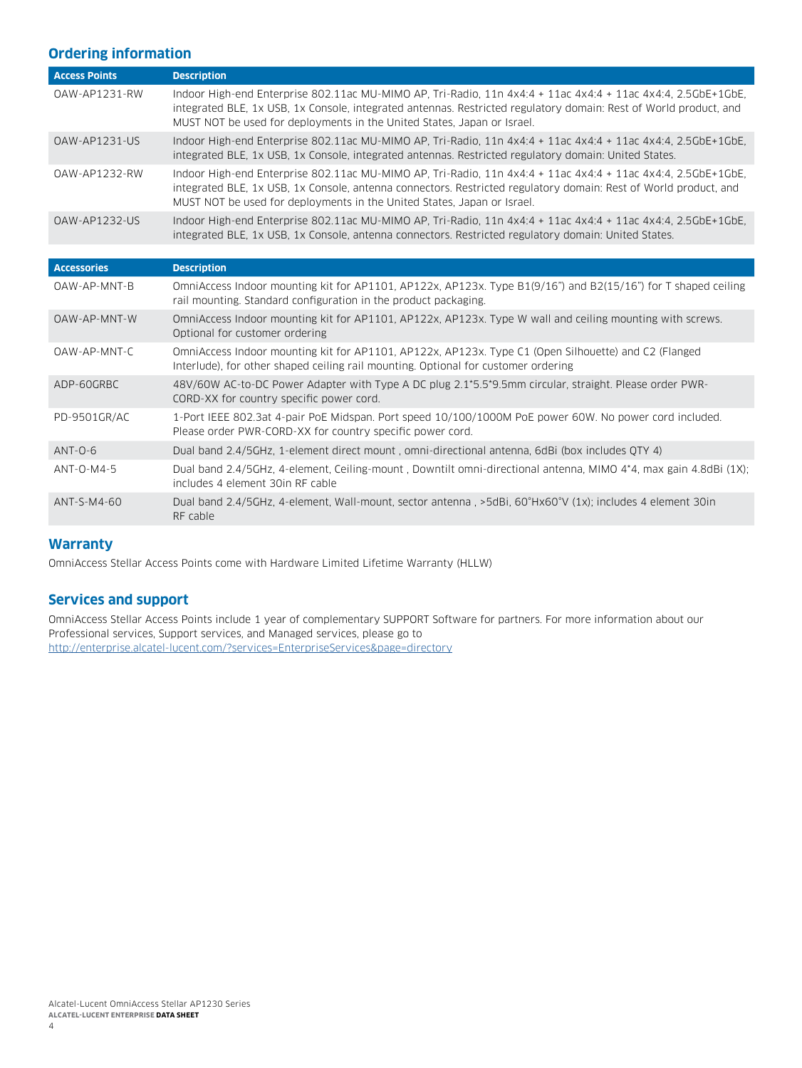# **Ordering information**

| <b>Access Points</b> | <b>Description</b>                                                                                                                                                                                                                                                                                           |
|----------------------|--------------------------------------------------------------------------------------------------------------------------------------------------------------------------------------------------------------------------------------------------------------------------------------------------------------|
| 0AW-AP1231-RW        | Indoor High-end Enterprise 802.11ac MU-MIMO AP, Tri-Radio, 11n 4x4:4 + 11ac 4x4:4 + 11ac 4x4:4, 2.5GbE+1GbE,<br>integrated BLE, 1x USB, 1x Console, integrated antennas. Restricted regulatory domain: Rest of World product, and<br>MUST NOT be used for deployments in the United States, Japan or Israel. |
| OAW-AP1231-US        | Indoor High-end Enterprise 802.11ac MU-MIMO AP, Tri-Radio, 11n 4x4:4 + 11ac 4x4:4 + 11ac 4x4:4, 2.5GbE+1GbE,<br>integrated BLE, 1x USB, 1x Console, integrated antennas, Restricted regulatory domain: United States.                                                                                        |
| 0AW-AP1232-RW        | Indoor High-end Enterprise 802.11ac MU-MIMO AP, Tri-Radio, 11n 4x4:4 + 11ac 4x4:4 + 11ac 4x4:4, 2.5GbE+1GbE,<br>integrated BLE, 1x USB, 1x Console, antenna connectors. Restricted regulatory domain: Rest of World product, and<br>MUST NOT be used for deployments in the United States, Japan or Israel.  |
| <b>OAW-AP1232-US</b> | Indoor High-end Enterprise 802.11ac MU-MIMO AP, Tri-Radio, 11n 4x4:4 + 11ac 4x4:4 + 11ac 4x4:4, 2.5GbE+1GbE,<br>integrated BLE, 1x USB, 1x Console, antenna connectors. Restricted regulatory domain: United States.                                                                                         |
|                      |                                                                                                                                                                                                                                                                                                              |
| <b>Accessories</b>   | <b>Description</b>                                                                                                                                                                                                                                                                                           |
| OAW-AP-MNT-B         | OmniAccess Indoor mounting kit for AP1101, AP122x, AP123x. Type B1(9/16") and B2(15/16") for T shaped ceiling<br>rail mounting. Standard configuration in the product packaging.                                                                                                                             |
| OAW-AP-MNT-W         | OmniAccess Indoor mounting kit for AP1101, AP122x, AP123x. Type W wall and ceiling mounting with screws.<br>Optional for customer ordering                                                                                                                                                                   |
| OAW-AP-MNT-C         | OmniAccess Indoor mounting kit for AP1101, AP122x, AP123x. Type C1 (Open Silhouette) and C2 (Flanged<br>Interlude), for other shaped ceiling rail mounting. Optional for customer ordering                                                                                                                   |
| ADP-60GRBC           | 48V/60W AC-to-DC Power Adapter with Type A DC plug 2.1*5.5*9.5mm circular, straight. Please order PWR-<br>CORD-XX for country specific power cord.                                                                                                                                                           |
| PD-9501GR/AC         | 1-Port IEEE 802.3at 4-pair PoE Midspan. Port speed 10/100/1000M PoE power 60W. No power cord included.<br>Please order PWR-CORD-XX for country specific power cord.                                                                                                                                          |
| $ANT-0-6$            | Dual band 2.4/5GHz, 1-element direct mount, omni-directional antenna, 6dBi (box includes OTY 4)                                                                                                                                                                                                              |
| ANT-0-M4-5           | Dual band 2.4/5GHz, 4-element, Ceiling-mount, Downtilt omni-directional antenna, MIMO 4*4, max gain 4.8dBi (1X);<br>includes 4 element 30in RF cable                                                                                                                                                         |
| ANT-S-M4-60          | Dual band 2.4/5GHz, 4-element, Wall-mount, sector antenna, >5dBi, 60°Hx60°V (1x); includes 4 element 30in<br>RF cable                                                                                                                                                                                        |
|                      |                                                                                                                                                                                                                                                                                                              |

# **Warranty**

OmniAccess Stellar Access Points come with Hardware Limited Lifetime Warranty (HLLW)

# **Services and support**

OmniAccess Stellar Access Points include 1 year of complementary SUPPORT Software for partners. For more information about our Professional services, Support services, and Managed services, please go to <http://enterprise.alcatel-lucent.com/?services=EnterpriseServices&page=directory>